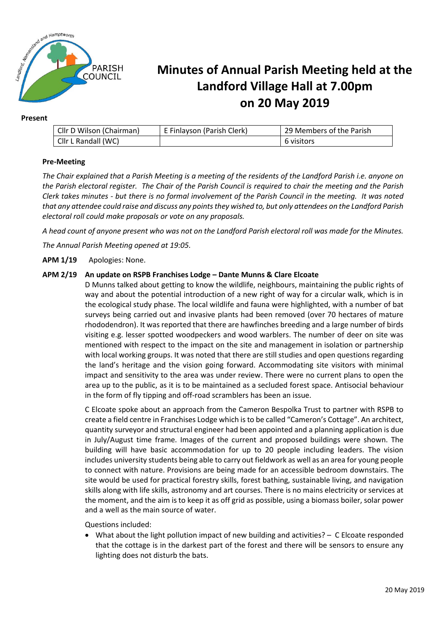

#### **Present**

| Cllr D Wilson (Chairman) | E Finlayson (Parish Clerk) | 29 Members of the Parish |
|--------------------------|----------------------------|--------------------------|
| Cllr L Randall (WC)      |                            | 6 visitors               |

### **Pre-Meeting**

*The Chair explained that a Parish Meeting is a meeting of the residents of the Landford Parish i.e. anyone on the Parish electoral register. The Chair of the Parish Council is required to chair the meeting and the Parish Clerk takes minutes - but there is no formal involvement of the Parish Council in the meeting. It was noted that any attendee could raise and discuss any points they wished to, but only attendees on the Landford Parish electoral roll could make proposals or vote on any proposals.*

*A head count of anyone present who was not on the Landford Parish electoral roll was made for the Minutes.*

*The Annual Parish Meeting opened at 19:05.*

**APM 1/19** Apologies: None.

### **APM 2/19 An update on RSPB Franchises Lodge – Dante Munns & Clare Elcoate**

D Munns talked about getting to know the wildlife, neighbours, maintaining the public rights of way and about the potential introduction of a new right of way for a circular walk, which is in the ecological study phase. The local wildlife and fauna were highlighted, with a number of bat surveys being carried out and invasive plants had been removed (over 70 hectares of mature rhododendron). It was reported that there are hawfinches breeding and a large number of birds visiting e.g. lesser spotted woodpeckers and wood warblers. The number of deer on site was mentioned with respect to the impact on the site and management in isolation or partnership with local working groups. It was noted that there are still studies and open questions regarding the land's heritage and the vision going forward. Accommodating site visitors with minimal impact and sensitivity to the area was under review. There were no current plans to open the area up to the public, as it is to be maintained as a secluded forest space. Antisocial behaviour in the form of fly tipping and off-road scramblers has been an issue.

C Elcoate spoke about an approach from the Cameron Bespolka Trust to partner with RSPB to create a field centre in Franchises Lodge which is to be called "Cameron's Cottage". An architect, quantity surveyor and structural engineer had been appointed and a planning application is due in July/August time frame. Images of the current and proposed buildings were shown. The building will have basic accommodation for up to 20 people including leaders. The vision includes university students being able to carry out fieldwork as well as an area for young people to connect with nature. Provisions are being made for an accessible bedroom downstairs. The site would be used for practical forestry skills, forest bathing, sustainable living, and navigation skills along with life skills, astronomy and art courses. There is no mains electricity or services at the moment, and the aim is to keep it as off grid as possible, using a biomass boiler, solar power and a well as the main source of water.

Questions included:

• What about the light pollution impact of new building and activities? – C Elcoate responded that the cottage is in the darkest part of the forest and there will be sensors to ensure any lighting does not disturb the bats.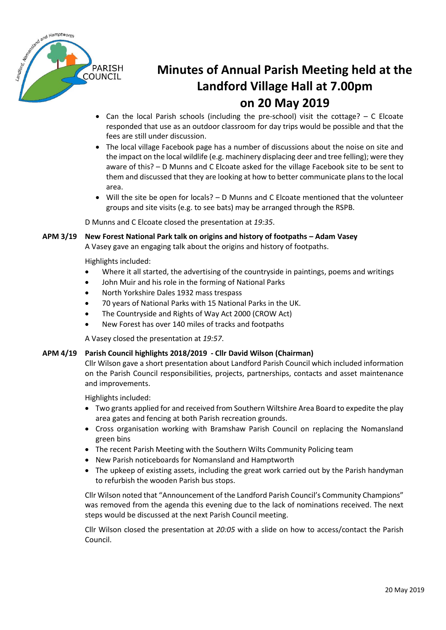

- Can the local Parish schools (including the pre-school) visit the cottage?  $C$  Elcoate responded that use as an outdoor classroom for day trips would be possible and that the fees are still under discussion.
- The local village Facebook page has a number of discussions about the noise on site and the impact on the local wildlife (e.g. machinery displacing deer and tree felling); were they aware of this? – D Munns and C Elcoate asked for the village Facebook site to be sent to them and discussed that they are looking at how to better communicate plans to the local area.
- Will the site be open for locals? D Munns and C Elcoate mentioned that the volunteer groups and site visits (e.g. to see bats) may be arranged through the RSPB.

D Munns and C Elcoate closed the presentation at *19:35*.

### **APM 3/19 New Forest National Park talk on origins and history of footpaths – Adam Vasey**

A Vasey gave an engaging talk about the origins and history of footpaths.

Highlights included:

- Where it all started, the advertising of the countryside in paintings, poems and writings
- John Muir and his role in the forming of National Parks
- North Yorkshire Dales 1932 mass trespass
- 70 years of National Parks with 15 National Parks in the UK.
- The Countryside and Rights of Way Act 2000 (CROW Act)
- New Forest has over 140 miles of tracks and footpaths

A Vasey closed the presentation at *19:57*.

### **APM 4/19 Parish Council highlights 2018/2019 - Cllr David Wilson (Chairman)**

Cllr Wilson gave a short presentation about Landford Parish Council which included information on the Parish Council responsibilities, projects, partnerships, contacts and asset maintenance and improvements.

Highlights included:

- Two grants applied for and received from Southern Wiltshire Area Board to expedite the play area gates and fencing at both Parish recreation grounds.
- Cross organisation working with Bramshaw Parish Council on replacing the Nomansland green bins
- The recent Parish Meeting with the Southern Wilts Community Policing team
- New Parish noticeboards for Nomansland and Hamptworth
- The upkeep of existing assets, including the great work carried out by the Parish handyman to refurbish the wooden Parish bus stops.

Cllr Wilson noted that "Announcement of the Landford Parish Council's Community Champions" was removed from the agenda this evening due to the lack of nominations received. The next steps would be discussed at the next Parish Council meeting.

Cllr Wilson closed the presentation at *20:05* with a slide on how to access/contact the Parish Council.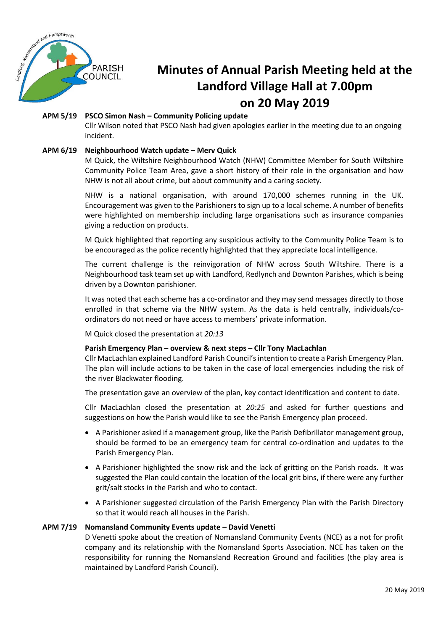

### **APM 5/19 PSCO Simon Nash – Community Policing update**

Cllr Wilson noted that PSCO Nash had given apologies earlier in the meeting due to an ongoing incident.

### **APM 6/19 Neighbourhood Watch update – Merv Quick**

M Quick, the Wiltshire Neighbourhood Watch (NHW) Committee Member for South Wiltshire Community Police Team Area, gave a short history of their role in the organisation and how NHW is not all about crime, but about community and a caring society.

NHW is a national organisation, with around 170,000 schemes running in the UK. Encouragement was given to the Parishioners to sign up to a local scheme. A number of benefits were highlighted on membership including large organisations such as insurance companies giving a reduction on products.

M Quick highlighted that reporting any suspicious activity to the Community Police Team is to be encouraged as the police recently highlighted that they appreciate local intelligence.

The current challenge is the reinvigoration of NHW across South Wiltshire. There is a Neighbourhood task team set up with Landford, Redlynch and Downton Parishes, which is being driven by a Downton parishioner.

It was noted that each scheme has a co-ordinator and they may send messages directly to those enrolled in that scheme via the NHW system. As the data is held centrally, individuals/coordinators do not need or have access to members' private information.

M Quick closed the presentation at *20:13*

### **Parish Emergency Plan – overview & next steps – Cllr Tony MacLachlan**

Cllr MacLachlan explained Landford Parish Council'sintention to create a Parish Emergency Plan. The plan will include actions to be taken in the case of local emergencies including the risk of the river Blackwater flooding.

The presentation gave an overview of the plan, key contact identification and content to date.

Cllr MacLachlan closed the presentation at *20:25* and asked for further questions and suggestions on how the Parish would like to see the Parish Emergency plan proceed.

- A Parishioner asked if a management group, like the Parish Defibrillator management group, should be formed to be an emergency team for central co-ordination and updates to the Parish Emergency Plan.
- A Parishioner highlighted the snow risk and the lack of gritting on the Parish roads. It was suggested the Plan could contain the location of the local grit bins, if there were any further grit/salt stocks in the Parish and who to contact.
- A Parishioner suggested circulation of the Parish Emergency Plan with the Parish Directory so that it would reach all houses in the Parish.

### **APM 7/19 Nomansland Community Events update – David Venetti**

D Venetti spoke about the creation of Nomansland Community Events (NCE) as a not for profit company and its relationship with the Nomansland Sports Association. NCE has taken on the responsibility for running the Nomansland Recreation Ground and facilities (the play area is maintained by Landford Parish Council).